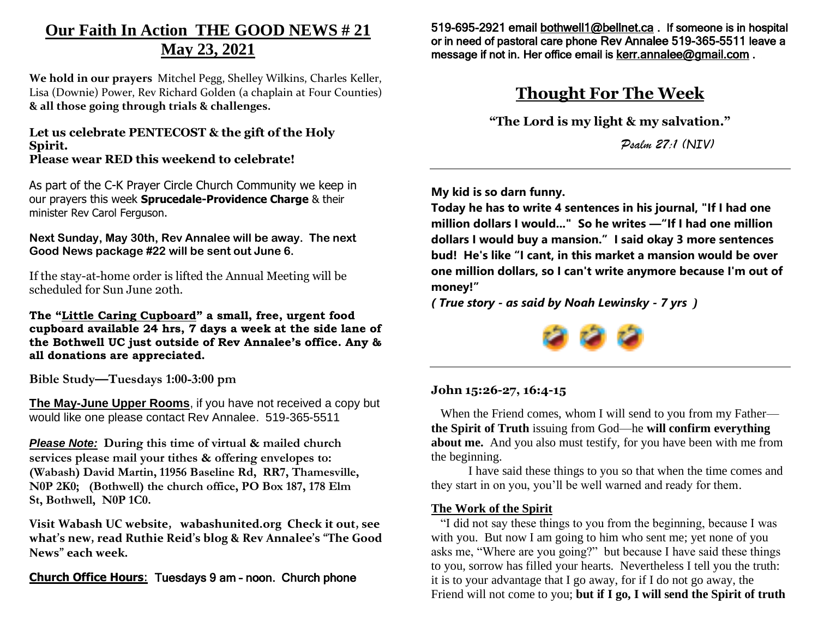# **Our Faith In Action THE GOOD NEWS # 21 May 23, 2021**

**We hold in our prayers** Mitchel Pegg, Shelley Wilkins, Charles Keller, Lisa (Downie) Power, Rev Richard Golden (a chaplain at Four Counties) **& all those going through trials & challenges.** 

#### **Let us celebrate PENTECOST & the gift of the Holy Spirit. Please wear RED this weekend to celebrate!**

As part of the C-K Prayer Circle Church Community we keep in our prayers this week **Sprucedale-Providence Charge** & their minister Rev Carol Ferguson.

**Next Sunday, May 30th, Rev Annalee will be away. The next Good News package #22 will be sent out June 6.**

If the stay-at-home order is lifted the Annual Meeting will be scheduled for Sun June 20th.

**The "Little Caring Cupboard" a small, free, urgent food cupboard available 24 hrs, 7 days a week at the side lane of the Bothwell UC just outside of Rev Annalee's office. Any & all donations are appreciated.**

**Bible Study—Tuesdays 1:00-3:00 pm**

**The May-June Upper Rooms**, if you have not received a copy but would like one please contact Rev Annalee. 519-365-5511

*Please Note:* **During this time of virtual & mailed church services please mail your tithes & offering envelopes to: (Wabash) David Martin, 11956 Baseline Rd, RR7, Thamesville, N0P 2K0; (Bothwell) the church office, PO Box 187, 178 Elm St, Bothwell, N0P 1C0.** 

**Visit Wabash UC website, wabashunited.org Check it out, see what's new, read Ruthie Reid's blog & Rev Annalee's "The Good News" each week.**

**Church Office Hours**: Tuesdays 9 am – noon. Church phone

519-695-2921 emai[l bothwell1@bellnet.ca](mailto:bothwell1@bellnet.ca) . If someone is in hospital or in need of pastoral care phone Rev Annalee 519-365-5511 leave a message if not in. Her office email is **kerr.annalee@gmail.com**.

## **Thought For The Week**

**"The Lord is my light & my salvation."**

*Psalm 27:1 (NIV)*

**My kid is so darn funny.** 

**Today he has to write 4 sentences in his journal, "If I had one million dollars I would..." So he writes —"If I had one million dollars I would buy a mansion." I said okay 3 more sentences bud! He's like "I cant, in this market a mansion would be over one million dollars, so I can't write anymore because I'm out of money!"** 

*( True story - as said by Noah Lewinsky - 7 yrs )*



### **John 15:26-27, 16:4-15**

When the Friend comes, whom I will send to you from my Father **the Spirit of Truth** issuing from God—he **will confirm everything about me.** And you also must testify, for you have been with me from the beginning.

I have said these things to you so that when the time comes and they start in on you, you'll be well warned and ready for them.

### **The Work of the Spirit**

 "I did not say these things to you from the beginning, because I was with you. But now I am going to him who sent me; yet none of you asks me, "Where are you going?" but because I have said these things to you, sorrow has filled your hearts. Nevertheless I tell you the truth: it is to your advantage that I go away, for if I do not go away, the Friend will not come to you; **but if I go, I will send the Spirit of truth**